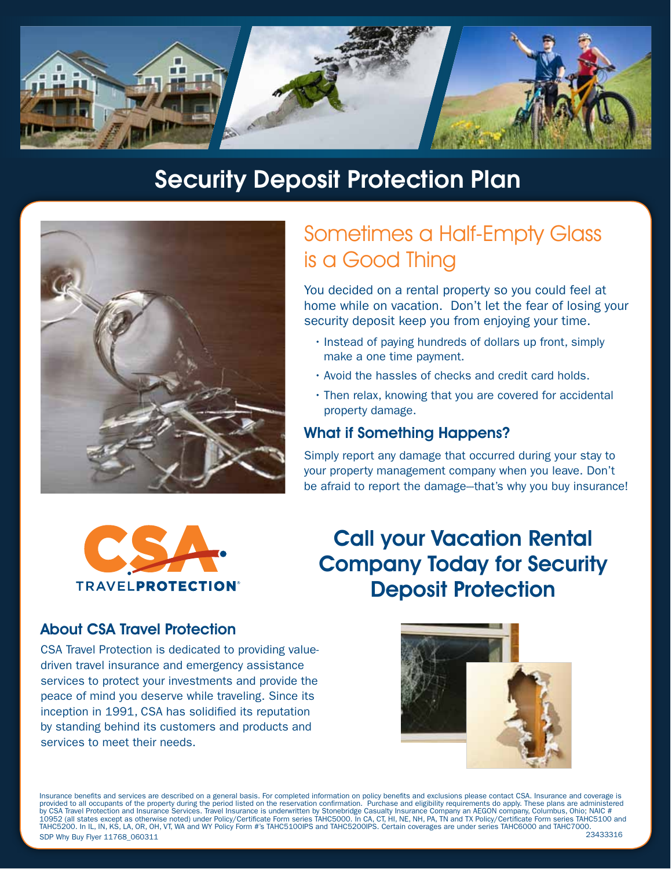

# Security Deposit Protection Plan



# Sometimes a Half-Empty Glass is a Good Thing

You decided on a rental property so you could feel at home while on vacation. Don't let the fear of losing your security deposit keep you from enjoying your time.

- $\cdot$  Instead of paying hundreds of dollars up front, simply make a one time payment.
- $\cdot$  Avoid the hassles of checks and credit card holds.
- $\cdot$  Then relax, knowing that you are covered for accidental property damage.

# What if Something Happens?

Simply report any damage that occurred during your stay to your property management company when you leave. Don't be afraid to report the damage--that's why you buy insurance!



# Call your Vacation Rental Company Today for Security Deposit Protection

# About CSA Travel Protection

CSA Travel Protection is dedicated to providing valuedriven travel insurance and emergency assistance services to protect your investments and provide the peace of mind you deserve while traveling. Since its inception in 1991, CSA has solidified its reputation by standing behind its customers and products and services to meet their needs.



Insurance benefits and services are described on a general basis. For completed information on policy benefits and exclusions please contact CSA. Insurance and coverage is provided to all occupants of the property during the period listed on the reservation confirmation. Purchase and eligibility requirements do apply. These plans are administered<br>by CSA Travel Protection and Insurance Servic 10952 (all states except as otherwise noted) under Policy/Certi�cate Form series TAHC5000. In CA, CT, HI, NE, NH, PA, TN and TX Policy/Certi�cate Form series TAHC5100 and TAHC5200. In IL, IN, KS, LA, OR, OH, VT, WA and WY Policy Form #'s TAHC5100IPS and TAHC5200IPS. Certain coverages are under series TAHC6000 and TAHC7000.<br>SDP Why Buy Flyer 11768.060311 SDP Why Buy Flyer 11768 060311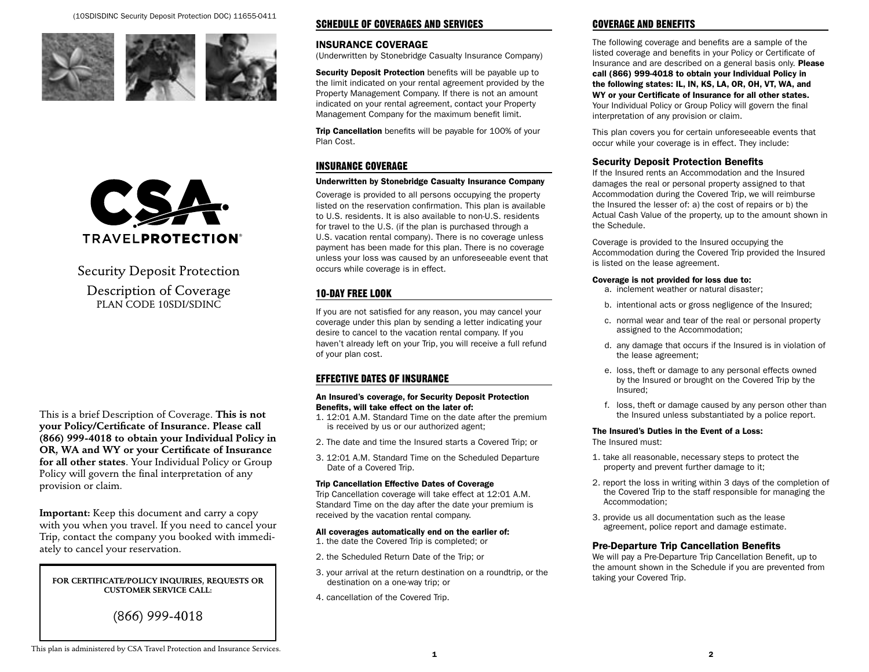(10SDISDINC Security Deposit Protection DOC) 11655-0411







# Security Deposit Protection Description of Coverage PLAN CODE 10SDI/SDINC

This is a brief Description of Coverage. This is not your Policy/Certificate of Insurance. Please call (866) 999-4018 to obtain your Individual Policy in OR, WA and WY or your Certificate of Insurance for all other states. Your Individual Policy or Group Policy will govern the final interpretation of any provision or claim.

Important: Keep this document and carry a copy with you when you travel. If you need to cancel your Trip, contact the company you booked with immediately to cancel your reservation.

FOR CERTIFICATE/POLICY INQUIRIES, REQUESTS OR CUSTOMER SERVICE CALL:

# (866) 999-4018

## SCHEDULE OF COVERAGES AND SERVICES

## INSURANCE COVERAGE

(Underwritten by Stonebridge Casualty Insurance Company)

Security Deposit Protection benefits will be payable up to the limit indicated on your rental agreement provided by the Property Management Company. If there is not an amount indicated on your rental agreement, contact your Property Management Company for the maximum benefit limit.

Trip Cancellation benefits will be payable for 100% of your Plan Cost.

## INSURANCE COVERAGE

#### Underwritten by Stonebridge Casualty Insurance Company

Coverage is provided to all persons occupying the property listed on the reservation confirmation. This plan is available to U.S. residents. It is also available to non-U.S. residents for travel to the U.S. (if the plan is purchased through a U.S. vacation rental company). There is no coverage unless payment has been made for this plan. There is no coverage unless your loss was caused by an unforeseeable event that occurs while coverage is in effect.

# 10-DAY FREE LOOK

If you are not satis�ed for any reason, you may cancel your coverage under this plan by sending a letter indicating your desire to cancel to the vacation rental company. If you haven't already left on your Trip, you will receive a full refund of your plan cost.

# EFFECTIVE DATES OF INSURANCE

#### An Insured's coverage, for Security Deposit Protection Benefits, will take effect on the later of:

- 1. 12:01 A.M. Standard Time on the date after the premium is received by us or our authorized agent;
- 2. The date and time the Insured starts a Covered Trip; or
- 3. 12:01 A.M. Standard Time on the Scheduled Departure Date of a Covered Trip.

#### Trip Cancellation Effective Dates of Coverage

Trip Cancellation coverage will take effect at 12:01 A.M. Standard Time on the day after the date your premium is received by the vacation rental company.

#### All coverages automatically end on the earlier of: 1. the date the Covered Trip is completed; or

- 2. the Scheduled Return Date of the Trip; or
- 3. your arrival at the return destination on a roundtrip, or the destination on a one-way trip; or
- 4. cancellation of the Covered Trip.

# COVERAGE AND BENEFITS

The following coverage and benefits are a sample of the listed coverage and benefits in your Policy or Certificate of Insurance and are described on a general basis only. Please call (866) 999-4018 to obtain your Individual Policy in the following states: IL, IN, KS, LA, OR, OH, VT, WA, and WY or your Certificate of Insurance for all other states. Your Individual Policy or Group Policy will govern the final interpretation of any provision or claim.

This plan covers you for certain unforeseeable events that occur while your coverage is in effect. They include:

## Security Deposit Protection Benefits

If the Insured rents an Accommodation and the Insured damages the real or personal property assigned to that Accommodation during the Covered Trip, we will reimburse the Insured the lesser of: a) the cost of repairs or b) the Actual Cash Value of the property, up to the amount shown in the Schedule.

Coverage is provided to the Insured occupying the Accommodation during the Covered Trip provided the Insured is listed on the lease agreement.

#### Coverage is not provided for loss due to:

- a. inclement weather or natural disaster;
- b. intentional acts or gross negligence of the Insured;
- c. normal wear and tear of the real or personal property assigned to the Accommodation;
- d. any damage that occurs if the Insured is in violation of the lease agreement;
- e. loss, theft or damage to any personal effects owned by the Insured or brought on the Covered Trip by the Insured;
- f. loss, theft or damage caused by any person other than the Insured unless substantiated by a police report.

#### The Insured's Duties in the Event of a Loss:

The Insured must:

- 1. take all reasonable, necessary steps to protect the property and prevent further damage to it;
- 2. report the loss in writing within 3 days of the completion of the Covered Trip to the staff responsible for managing the Accommodation;
- 3. provide us all documentation such as the lease agreement, police report and damage estimate.

### Pre-Departure Trip Cancellation Benefits

We will pay a Pre-Departure Trip Cancellation Benefit, up to the amount shown in the Schedule if you are prevented from taking your Covered Trip.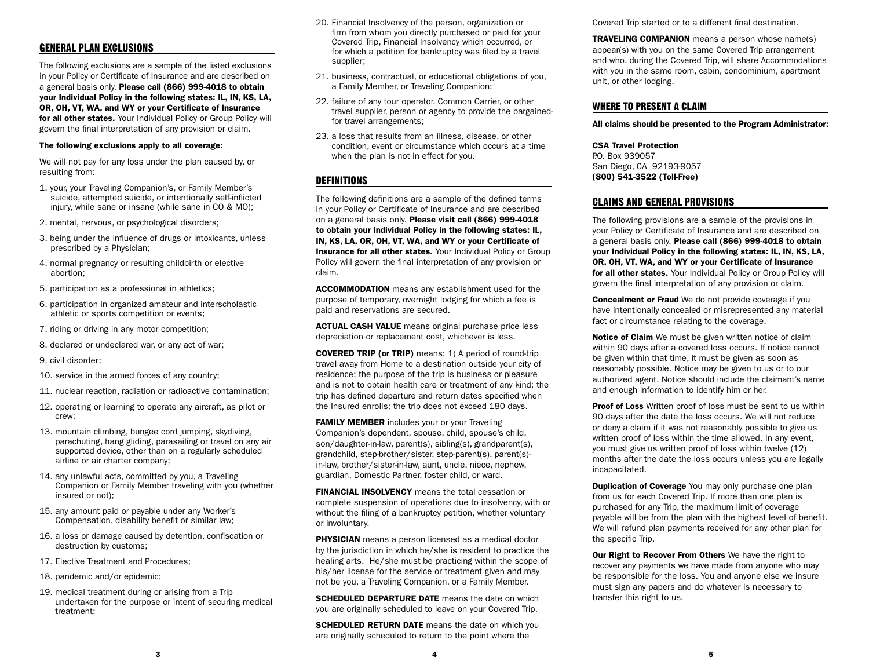## GENERAL PLAN EXCLUSIONS

The following exclusions are a sample of the listed exclusions in your Policy or Certificate of Insurance and are described on a general basis only. Please call (866) 999-4018 to obtain your Individual Policy in the following states: IL, IN, KS, LA, OR, OH, VT, WA, and WY or your Certificate of Insurance for all other states. Your Individual Policy or Group Policy will govern the final interpretation of any provision or claim.

#### The following exclusions apply to all coverage:

We will not pay for any loss under the plan caused by, or resulting from:

- 1. your, your Traveling Companion's, or Family Member's suicide, attempted suicide, or intentionally self-inflicted injury, while sane or insane (while sane in CO & MO);
- 2. mental, nervous, or psychological disorders;
- 3. being under the influence of drugs or intoxicants, unless prescribed by a Physician;
- 4. normal pregnancy or resulting childbirth or elective abortion;
- 5. participation as a professional in athletics;
- 6. participation in organized amateur and interscholastic athletic or sports competition or events;
- 7. riding or driving in any motor competition;
- 8. declared or undeclared war, or any act of war;
- 9. civil disorder;
- 10. service in the armed forces of any country;
- 11. nuclear reaction, radiation or radioactive contamination;
- 12. operating or learning to operate any aircraft, as pilot or crew;
- 13. mountain climbing, bungee cord jumping, skydiving, parachuting, hang gliding, parasailing or travel on any air supported device, other than on a regularly scheduled airline or air charter company;
- 14. any unlawful acts, committed by you, a Traveling Companion or Family Member traveling with you (whether insured or not);
- 15. any amount paid or payable under any Worker's Compensation, disability benefit or similar law;
- 16. a loss or damage caused by detention, confiscation or destruction by customs;
- 17. Elective Treatment and Procedures;
- 18. pandemic and/or epidemic;
- 19. medical treatment during or arising from a Trip undertaken for the purpose or intent of securing medical treatment;
- 20. Financial Insolvency of the person, organization or firm from whom you directly purchased or paid for your Covered Trip, Financial Insolvency which occurred, or for which a petition for bankruptcy was filed by a travel supplier;
- 21. business, contractual, or educational obligations of you, a Family Member, or Traveling Companion;
- 22. failure of any tour operator, Common Carrier, or other travel supplier, person or agency to provide the bargainedfor travel arrangements;
- 23. a loss that results from an illness, disease, or other condition, event or circumstance which occurs at a time when the plan is not in effect for you.

#### **DEFINITIONS**

The following definitions are a sample of the defined terms in your Policy or Certificate of Insurance and are described on a general basis only. Please visit call (866) 999-4018 to obtain your Individual Policy in the following states: IL, IN, KS, LA, OR, OH, VT, WA, and WY or your Certificate of Insurance for all other states. Your Individual Policy or Group Policy will govern the final interpretation of any provision or claim.

ACCOMMODATION means any establishment used for the purpose of temporary, overnight lodging for which a fee is paid and reservations are secured.

ACTUAL CASH VALUE means original purchase price less depreciation or replacement cost, whichever is less.

COVERED TRIP (or TRIP) means: 1) A period of round-trip travel away from Home to a destination outside your city of residence; the purpose of the trip is business or pleasure and is not to obtain health care or treatment of any kind; the trip has defined departure and return dates specified when the Insured enrolls; the trip does not exceed 180 days.

FAMILY MEMBER includes your or your Traveling Companion's dependent, spouse, child, spouse's child, son/daughter-in-law, parent(s), sibling(s), grandparent(s), grandchild, step-brother/sister, step-parent(s), parent(s) in-law, brother/sister-in-law, aunt, uncle, niece, nephew, guardian, Domestic Partner, foster child, or ward.

FINANCIAL INSOLVENCY means the total cessation or complete suspension of operations due to insolvency, with or without the filing of a bankruptcy petition, whether voluntary or involuntary.

**PHYSICIAN** means a person licensed as a medical doctor by the jurisdiction in which he/she is resident to practice the healing arts. He/she must be practicing within the scope of his/her license for the service or treatment given and may not be you, a Traveling Companion, or a Family Member.

SCHEDULED DEPARTURE DATE means the date on which you are originally scheduled to leave on your Covered Trip.

**SCHEDULED RETURN DATE** means the date on which you are originally scheduled to return to the point where the

Covered Trip started or to a different final destination.

TRAVELING COMPANION means a person whose name(s) appear(s) with you on the same Covered Trip arrangement and who, during the Covered Trip, will share Accommodations with you in the same room, cabin, condominium, apartment unit, or other lodging.

#### WHERE TO PRESENT A CLAIM

All claims should be presented to the Program Administrator:

#### CSA Travel Protection

P.O. Box 939057 San Diego, CA 92193-9057 (800) 541-3522 (Toll-Free)

#### CLAIMS AND GENERAL PROVISIONS

The following provisions are a sample of the provisions in your Policy or Certificate of Insurance and are described on a general basis only. Please call (866) 999-4018 to obtain your Individual Policy in the following states: IL, IN, KS, LA, OR, OH, VT, WA, and WY or your Certificate of Insurance for all other states. Your Individual Policy or Group Policy will govern the final interpretation of any provision or claim.

**Concealment or Fraud** We do not provide coverage if you have intentionally concealed or misrepresented any material fact or circumstance relating to the coverage.

Notice of Claim We must be given written notice of claim within 90 days after a covered loss occurs. If notice cannot be given within that time, it must be given as soon as reasonably possible. Notice may be given to us or to our authorized agent. Notice should include the claimant's name and enough information to identify him or her.

Proof of Loss Written proof of loss must be sent to us within 90 days after the date the loss occurs. We will not reduce or deny a claim if it was not reasonably possible to give us written proof of loss within the time allowed. In any event, you must give us written proof of loss within twelve (12) months after the date the loss occurs unless you are legally incapacitated.

**Duplication of Coverage** You may only purchase one plan from us for each Covered Trip. If more than one plan is purchased for any Trip, the maximum limit of coverage payable will be from the plan with the highest level of benefit. We will refund plan payments received for any other plan for the specific Trip.

Our Right to Recover From Others We have the right to recover any payments we have made from anyone who may be responsible for the loss. You and anyone else we insure must sign any papers and do whatever is necessary to transfer this right to us.